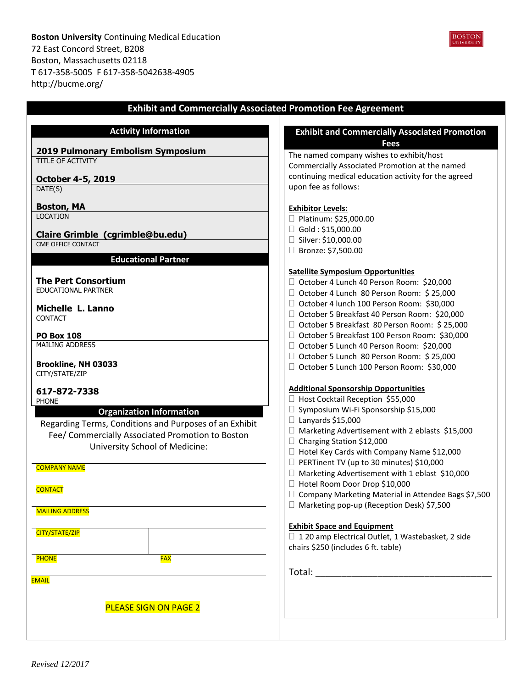**Boston University** Continuing Medical Education 72 East Concord Street, B208 Boston, Massachusetts 02118 T 617-358-5005 F 617-358-5042638-4905 http://bucme.org/

| <b>Exhibit and Commercially Associated Promotion Fee Agreement</b> |                                                                              |  |  |
|--------------------------------------------------------------------|------------------------------------------------------------------------------|--|--|
| <b>Activity Information</b>                                        | <b>Exhibit and Commercially Associated Promotion</b>                         |  |  |
|                                                                    | <b>Fees</b>                                                                  |  |  |
| 2019 Pulmonary Embolism Symposium                                  | The named company wishes to exhibit/host                                     |  |  |
| TITLE OF ACTIVITY                                                  | Commercially Associated Promotion at the named                               |  |  |
| <b>October 4-5, 2019</b>                                           | continuing medical education activity for the agreed                         |  |  |
| DATE(S)                                                            | upon fee as follows:                                                         |  |  |
| <b>Boston, MA</b>                                                  | <b>Exhibitor Levels:</b>                                                     |  |  |
| <b>LOCATION</b>                                                    | □ Platinum: \$25,000.00                                                      |  |  |
|                                                                    | $\Box$ Gold: \$15,000.00                                                     |  |  |
| Claire Grimble (cgrimble@bu.edu)<br><b>CME OFFICE CONTACT</b>      | □ Silver: \$10,000.00                                                        |  |  |
|                                                                    | □ Bronze: \$7,500.00                                                         |  |  |
| <b>Educational Partner</b>                                         |                                                                              |  |  |
|                                                                    | <b>Satellite Symposium Opportunities</b>                                     |  |  |
| <b>The Pert Consortium</b>                                         | □ October 4 Lunch 40 Person Room: \$20,000                                   |  |  |
| <b>EDUCATIONAL PARTNER</b>                                         | □ October 4 Lunch 80 Person Room: \$25,000                                   |  |  |
| Michelle L. Lanno                                                  | □ October 4 lunch 100 Person Room: \$30,000                                  |  |  |
| <b>CONTACT</b>                                                     | □ October 5 Breakfast 40 Person Room: \$20,000                               |  |  |
|                                                                    | □ October 5 Breakfast 80 Person Room: \$25,000                               |  |  |
| <b>PO Box 108</b>                                                  | □ October 5 Breakfast 100 Person Room: \$30,000                              |  |  |
| <b>MAILING ADDRESS</b>                                             | □ October 5 Lunch 40 Person Room: \$20,000                                   |  |  |
| Brookline, NH 03033                                                | □ October 5 Lunch 80 Person Room: \$25,000                                   |  |  |
| CITY/STATE/ZIP                                                     | □ October 5 Lunch 100 Person Room: \$30,000                                  |  |  |
|                                                                    |                                                                              |  |  |
| 617-872-7338                                                       | <b>Additional Sponsorship Opportunities</b>                                  |  |  |
| <b>PHONE</b>                                                       | □ Host Cocktail Reception \$55,000<br>□ Symposium Wi-Fi Sponsorship \$15,000 |  |  |
| <b>Organization Information</b>                                    | $\Box$ Lanyards \$15,000                                                     |  |  |
| Regarding Terms, Conditions and Purposes of an Exhibit             | $\Box$ Marketing Advertisement with 2 eblasts \$15,000                       |  |  |
| Fee/ Commercially Associated Promotion to Boston                   | $\Box$ Charging Station \$12,000                                             |  |  |
| University School of Medicine:                                     | □ Hotel Key Cards with Company Name \$12,000                                 |  |  |
|                                                                    | PERTinent TV (up to 30 minutes) \$10,000                                     |  |  |
| <b>COMPANY NAME</b>                                                | $\Box$ Marketing Advertisement with 1 eblast \$10,000                        |  |  |
|                                                                    | □ Hotel Room Door Drop \$10,000                                              |  |  |
| <b>CONTACT</b>                                                     | □ Company Marketing Material in Attendee Bags \$7,500                        |  |  |
|                                                                    | □ Marketing pop-up (Reception Desk) \$7,500                                  |  |  |
| <b>MAILING ADDRESS</b>                                             |                                                                              |  |  |
|                                                                    | <b>Exhibit Space and Equipment</b>                                           |  |  |
| CITY/STATE/ZIP                                                     | □ 120 amp Electrical Outlet, 1 Wastebasket, 2 side                           |  |  |
|                                                                    | chairs \$250 (includes 6 ft. table)                                          |  |  |
| <b>PHONE</b><br><b>FAX</b>                                         |                                                                              |  |  |
|                                                                    |                                                                              |  |  |
| <b>EMAIL</b>                                                       |                                                                              |  |  |
|                                                                    |                                                                              |  |  |
| <b>PLEASE SIGN ON PAGE 2</b>                                       |                                                                              |  |  |
|                                                                    |                                                                              |  |  |
|                                                                    |                                                                              |  |  |
|                                                                    |                                                                              |  |  |

**BOSTON**